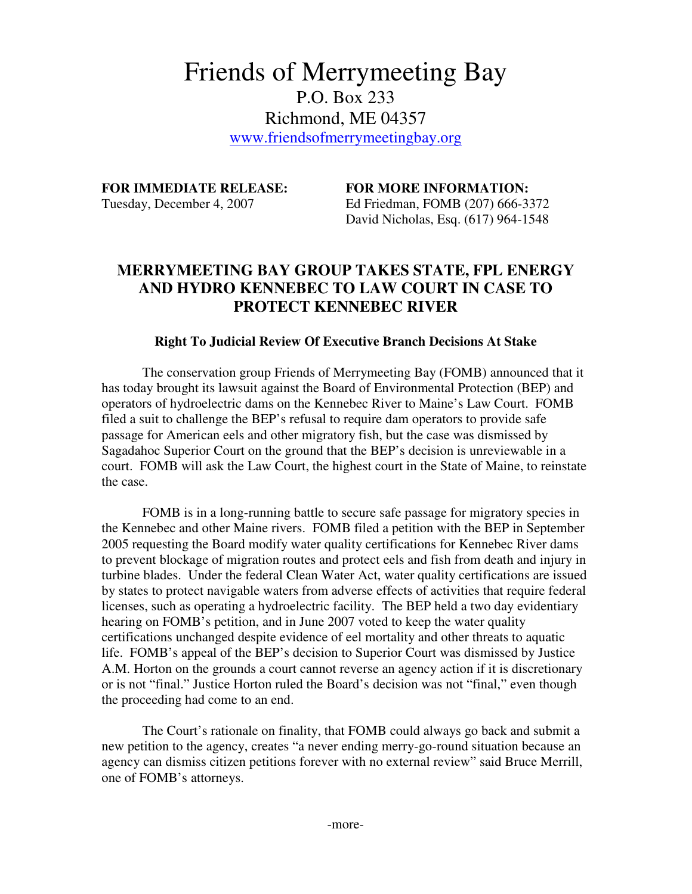## Friends of Merrymeeting Bay P.O. Box 233 Richmond, ME 04357 www.friendsofmerrymeetingbay.org

**FOR IMMEDIATE RELEASE: FOR MORE INFORMATION:** 

Tuesday, December 4, 2007 Ed Friedman, FOMB (207) 666-3372 David Nicholas, Esq. (617) 964-1548

## **MERRYMEETING BAY GROUP TAKES STATE, FPL ENERGY AND HYDRO KENNEBEC TO LAW COURT IN CASE TO PROTECT KENNEBEC RIVER**

## **Right To Judicial Review Of Executive Branch Decisions At Stake**

The conservation group Friends of Merrymeeting Bay (FOMB) announced that it has today brought its lawsuit against the Board of Environmental Protection (BEP) and operators of hydroelectric dams on the Kennebec River to Maine's Law Court. FOMB filed a suit to challenge the BEP's refusal to require dam operators to provide safe passage for American eels and other migratory fish, but the case was dismissed by Sagadahoc Superior Court on the ground that the BEP's decision is unreviewable in a court. FOMB will ask the Law Court, the highest court in the State of Maine, to reinstate the case.

FOMB is in a long-running battle to secure safe passage for migratory species in the Kennebec and other Maine rivers. FOMB filed a petition with the BEP in September 2005 requesting the Board modify water quality certifications for Kennebec River dams to prevent blockage of migration routes and protect eels and fish from death and injury in turbine blades. Under the federal Clean Water Act, water quality certifications are issued by states to protect navigable waters from adverse effects of activities that require federal licenses, such as operating a hydroelectric facility. The BEP held a two day evidentiary hearing on FOMB's petition, and in June 2007 voted to keep the water quality certifications unchanged despite evidence of eel mortality and other threats to aquatic life. FOMB's appeal of the BEP's decision to Superior Court was dismissed by Justice A.M. Horton on the grounds a court cannot reverse an agency action if it is discretionary or is not "final." Justice Horton ruled the Board's decision was not "final," even though the proceeding had come to an end.

The Court's rationale on finality, that FOMB could always go back and submit a new petition to the agency, creates "a never ending merry-go-round situation because an agency can dismiss citizen petitions forever with no external review" said Bruce Merrill, one of FOMB's attorneys.